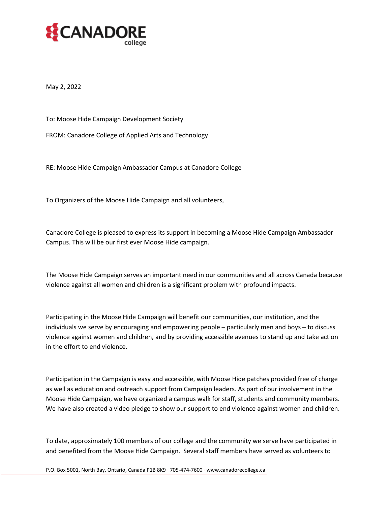

May 2, 2022

To: Moose Hide Campaign Development Society

FROM: Canadore College of Applied Arts and Technology

RE: Moose Hide Campaign Ambassador Campus at Canadore College

To Organizers of the Moose Hide Campaign and all volunteers,

Canadore College is pleased to express its support in becoming a Moose Hide Campaign Ambassador Campus. This will be our first ever Moose Hide campaign.

The Moose Hide Campaign serves an important need in our communities and all across Canada because violence against all women and children is a significant problem with profound impacts.

Participating in the Moose Hide Campaign will benefit our communities, our institution, and the individuals we serve by encouraging and empowering people – particularly men and boys – to discuss violence against women and children, and by providing accessible avenues to stand up and take action in the effort to end violence.

Participation in the Campaign is easy and accessible, with Moose Hide patches provided free of charge as well as education and outreach support from Campaign leaders. As part of our involvement in the Moose Hide Campaign, we have organized a campus walk for staff, students and community members. We have also created a video pledge to show our support to end violence against women and children.

To date, approximately 100 members of our college and the community we serve have participated in and benefited from the Moose Hide Campaign. Several staff members have served as volunteers to